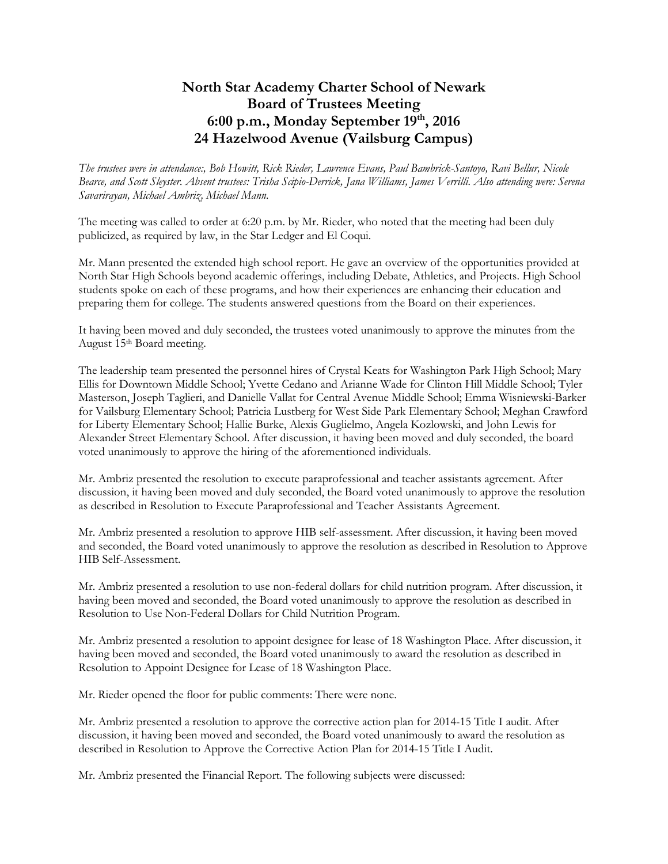## North Star Academy Charter School of Newark Board of Trustees Meeting 6:00 p.m., Monday September  $19<sup>th</sup>$ , 2016 24 Hazelwood Avenue (Vailsburg Campus)

 The trustees were in attendance:, Bob Howitt, Rick Rieder, Lawrence Evans, Paul Bambrick-Santoyo, Ravi Bellur, Nicole Bearce, and Scott Sleyster. Absent trustees: Trisha Scipio-Derrick, Jana Williams, James Verrilli. Also attending were: Serena Savarirayan, Michael Ambriz, Michael Mann.

 The meeting was called to order at 6:20 p.m. by Mr. Rieder, who noted that the meeting had been duly publicized, as required by law, in the Star Ledger and El Coqui.

 Mr. Mann presented the extended high school report. He gave an overview of the opportunities provided at North Star High Schools beyond academic offerings, including Debate, Athletics, and Projects. High School students spoke on each of these programs, and how their experiences are enhancing their education and preparing them for college. The students answered questions from the Board on their experiences.

 It having been moved and duly seconded, the trustees voted unanimously to approve the minutes from the August 15th Board meeting.

 The leadership team presented the personnel hires of Crystal Keats for Washington Park High School; Mary Ellis for Downtown Middle School; Yvette Cedano and Arianne Wade for Clinton Hill Middle School; Tyler Masterson, Joseph Taglieri, and Danielle Vallat for Central Avenue Middle School; Emma Wisniewski-Barker for Vailsburg Elementary School; Patricia Lustberg for West Side Park Elementary School; Meghan Crawford Alexander Street Elementary School. After discussion, it having been moved and duly seconded, the board voted unanimously to approve the hiring of the aforementioned individuals. for Liberty Elementary School; Hallie Burke, Alexis Guglielmo, Angela Kozlowski, and John Lewis for

 Mr. Ambriz presented the resolution to execute paraprofessional and teacher assistants agreement. After discussion, it having been moved and duly seconded, the Board voted unanimously to approve the resolution as described in Resolution to Execute Paraprofessional and Teacher Assistants Agreement.

 Mr. Ambriz presented a resolution to approve HIB self-assessment. After discussion, it having been moved and seconded, the Board voted unanimously to approve the resolution as described in Resolution to Approve HIB Self-Assessment.

HIB Self-Assessment.<br>Mr. Ambriz presented a resolution to use non-federal dollars for child nutrition program. After discussion, it having been moved and seconded, the Board voted unanimously to approve the resolution as described in Resolution to Use Non-Federal Dollars for Child Nutrition Program.

 Mr. Ambriz presented a resolution to appoint designee for lease of 18 Washington Place. After discussion, it Resolution to Appoint Designee for Lease of 18 Washington Place. having been moved and seconded, the Board voted unanimously to award the resolution as described in

Mr. Rieder opened the floor for public comments: There were none.

 Mr. Ambriz presented a resolution to approve the corrective action plan for 2014-15 Title I audit. After discussion, it having been moved and seconded, the Board voted unanimously to award the resolution as described in Resolution to Approve the Corrective Action Plan for 2014-15 Title I Audit.

Mr. Ambriz presented the Financial Report. The following subjects were discussed: